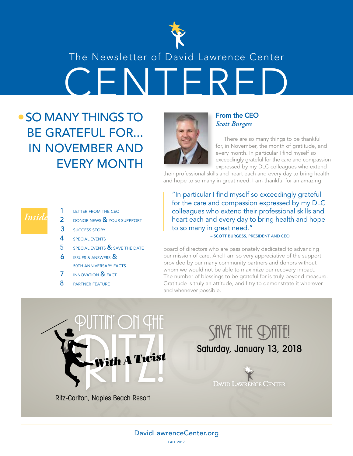

### The Newsletter of David Lawrence Center

CENTERED

## SO MANY THINGS TO BE GRATEFUL FOR... IN NOVEMBER AND EVERY MONTH



### From the CEO *Scott Burgess*

There are so many things to be thankful for, in November, the month of gratitude, and every month. In particular I find myself so exceedingly grateful for the care and compassion expressed by my DLC colleagues who extend

their professional skills and heart each and every day to bring health and hope to so many in great need. I am thankful for an amazing

*Inside*

- LETTER FROM THE CEO 2 DONOR NEWS & YOUR SUPPPORT 3 SUCCESS STORY 4 SPECIAL EVENTS
- 5 SPECIAL EVENTS & SAVE THE DATE
- **6** ISSUES & ANSWERS &
- 50TH ANNIVERSARY FACTS
- 7 INNOVATION & FACT
- 8 **PARTNER FEATURE**

"In particular I find myself so exceedingly grateful for the care and compassion expressed by my DLC colleagues who extend their professional skills and heart each and every day to bring health and hope to so many in great need."

– SCOTT BURGESS, PRESIDENT AND CEO

NIVERSARY FACTS<br>
FION & FACT<br>
The number of blessings to be grateful for the able to maximize<br>
The number of blessings to be grateful for Gratitude is truly an attitude, and I try to<br>
and whenever possible.<br>
The contract o board of directors who are passionately dedicated to advancing our mission of care. And I am so very appreciative of the support provided by our many community partners and donors without whom we would not be able to maximize our recovery impact. The number of blessings to be grateful for is truly beyond measure. Gratitude is truly an attitude, and I try to demonstrate it wherever and whenever possible.



Ritz-Carlton, Naples Beach Resort

## SAVE THE **DATE!** Saturday, January 13, 2018



### DavidLawrenceCenter.org FALL 2017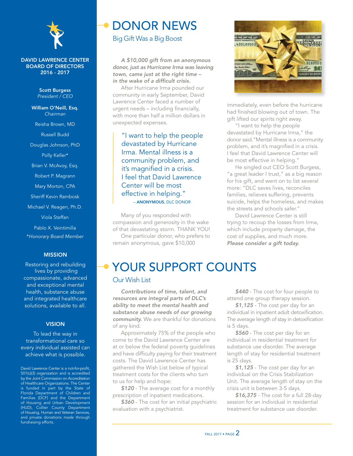

### DAVID LAWRENCE CENTER BOARD OF DIRECTORS 2016 - 2017

Scott Burgess *President / CEO*

William O'Neill, Esq. *Chairman* Reisha Brown, MD Russell Budd Douglas Johnson, PhD Polly Keller\* Brian V. McAvoy, Esq. Robert P. Magrann Mary Morton, CPA Sheriff Kevin Rambosk Michael V. Reagen, Ph.D. Viola Steffan Pablo X. Veintimilla \**Honorary Board Member* MISSION

Restoring and rebuilding lives by providing compassionate, advanced and exceptional mental health, substance abuse and integrated healthcare solutions, available to all.

#### **VISION**

To lead the way in transformational care so every individual assisted can achieve what is possible.

David Lawrence Center is a not-for-profit, 501(c)(3) organization and is accredited by the Joint Commission on Accreditation of Healthcare Organizations. The Center is funded in part by the State of Florida Department of Children and Families (DCF) and the Department of Housing and Urban Development (HUD), Collier County Department of Housing, Human and Veteran Services, and private donations made through fundraising efforts.

## DONOR NEWS

Big Gift Was a Big Boost

*A \$10,000 gift from an anonymous donor, just as Hurricane Irma was leaving town, came just at the right time – in the wake of a difficult crisis.*

After Hurricane Irma pounded our community in early September, David Lawrence Center faced a number of urgent needs – including financially, with more than half a million dollars in unexpected expenses.

 – ANONYMOUS, DLC DONOR "I want to help the people devastated by Hurricane Irma. Mental illness is a community problem, and it's magnified in a crisis. I feel that David Lawrence Center will be most effective in helping."

Many of you responded with compassion and generosity in the wake of that devastating storm. THANK YOU! One particular donor, who prefers to remain anonymous, gave \$10,000



immediately, even before the hurricane had finished blowing out of town. The gift lifted our spirits right away.

"I want to help the people devastated by Hurricane Irma," the donor said."Mental illness is a community problem, and it's magnified in a crisis. I feel that David Lawrence Center will be most effective in helping."

He singled out CEO Scott Burgess, "a great leader I trust," as a big reason for his gift, and went on to list several more: "DLC saves lives, reconciles families, relieves suffering, prevents suicide, helps the homeless, and makes the streets and schools safer."

David Lawrence Center is still trying to recoup the losses from Irma, which include property damage, the cost of supplies, and much more. *Please consider a gift today.*

## YOUR SUPPORT COUNTS

### Our Wish List

*Contributions of time, talent, and resources are integral parts of DLC's ability to meet the mental health and substance abuse needs of our growing community.* We are thankful for donations of any kind.

Approximately 75% of the people who come to the David Lawrence Center are at or below the federal poverty guidelines and have difficulty paying for their treatment costs. The David Lawrence Center has gathered the Wish List below of typical treatment costs for the clients who turn to us for help and hope:

*\$120* - The average cost for a monthly prescription of inpatient medications.

*\$360* - The cost for an initial psychiatric evaluation with a psychiatrist.

*\$440* - The cost for four people to attend one group therapy session.

*\$1,125* - The cost per day for an individual in inpatient adult detoxification. The average length of stay in detoxification is 5 days.

*\$560* - The cost per day for an individual in residential treatment for substance use disorder. The average length of stay for residential treatment is 25 days.

*\$1,125* - The cost per day for an individual on the Crisis Stabilization Unit. The average length of stay on the crisis unit is between 3-5 days.

*\$16,375* - The cost for a full 28-day session for an individual in residential treatment for substance use disorder.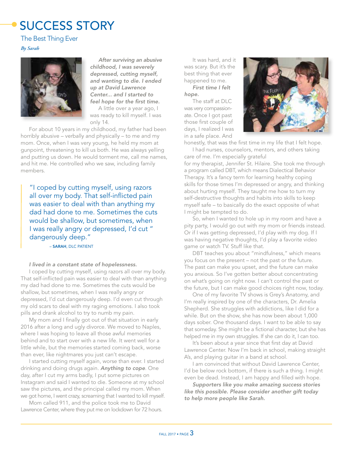## SUCCESS STORY

### The Best Thing Ever

*By Sarah*



*After surviving an abusive childhood, I was severely depressed, cutting myself, and wanting to die. I ended up at David Lawrence Center... and I started to feel hope for the first time.* 

A little over a year ago, I was ready to kill myself. I was only 14.

For about 10 years in my childhood, my father had been horribly abusive – verbally and physically – to me and my mom. Once, when I was very young, he held my mom at gunpoint, threatening to kill us both. He was always yelling and putting us down. He would torment me, call me names, and hit me. He controlled who we saw, including family members.

"I coped by cutting myself, using razors all over my body. That self-inflicted pain was easier to deal with than anything my dad had done to me. Sometimes the cuts would be shallow, but sometimes, when I was really angry or depressed, I'd cut " dangerously deep."

– SARAH, DLC PATIENT

### *I lived in a constant state of hopelessness.*

I coped by cutting myself, using razors all over my body. That self-inflicted pain was easier to deal with than anything my dad had done to me. Sometimes the cuts would be shallow, but sometimes, when I was really angry or depressed, I'd cut dangerously deep. I'd even cut through my old scars to deal with my raging emotions. I also took pills and drank alcohol to try to numb my pain.

My mom and I finally got out of that situation in early 2016 after a long and ugly divorce. We moved to Naples, where I was hoping to leave all those awful memories behind and to start over with a new life. It went well for a little while, but the memories started coming back, worse than ever, like nightmares you just can't escape.

I started cutting myself again, worse than ever. I started drinking and doing drugs again. *Anything to cope*. One day, after I cut my arms badly, I put some pictures on Instagram and said I wanted to die. Someone at my school saw the pictures, and the principal called my mom. When we got home, I went crazy, screaming that I wanted to kill myself.

Mom called 911, and the police took me to David Lawrence Center, where they put me on lockdown for 72 hours.

It was hard, and it was scary. But it's the best thing that ever happened to me.

*First time I felt hope.*

The staff at DLC was very compassionate. Once I got past those first couple of days, I realized I was in a safe place. And



honestly, that was the first time in my life that I felt hope.

I had nurses, counselors, mentors, and others taking care of me. I'm especially grateful for my therapist, Jennifer St. Hilaire. She took me through a program called DBT, which means Dialectical Behavior Therapy. It's a fancy term for learning healthy coping skills for those times I'm depressed or angry, and thinking about hurting myself. They taught me how to turn my self-destructive thoughts and habits into skills to keep myself safe – to basically do the exact opposite of what I might be tempted to do.

So, when I wanted to hole up in my room and have a pity party, I would go out with my mom or friends instead. Or if I was getting depressed, I'd play with my dog. If I was having negative thoughts, I'd play a favorite video game or watch TV. Stuff like that.

DBT teaches you about "mindfulness," which means you focus on the present – not the past or the future. The past can make you upset, and the future can make you anxious. So I've gotten better about concentrating on what's going on right now. I can't control the past or the future, but I can make good choices right now, today.

One of my favorite TV shows is Grey's Anatomy, and I'm really inspired by one of the characters, Dr. Amelia Shepherd. She struggles with addictions, like I did for a while. But on the show, she has now been about 1,000 days sober. One thousand days. I want to be able to say that someday. She might be a fictional character, but she has helped me in my own struggles. If she can do it, I can too.

It's been about a year since that first day at David Lawrence Center. Now I'm back in school, making straight A's, and playing guitar in a band at school.

I am convinced that without David Lawrence Center, I'd be below rock bottom, if there is such a thing. I might even be dead. Instead, I am happy and filled with hope.

*Supporters like you make amazing success stories like this possible. Please consider another gift today to help more people like Sarah.*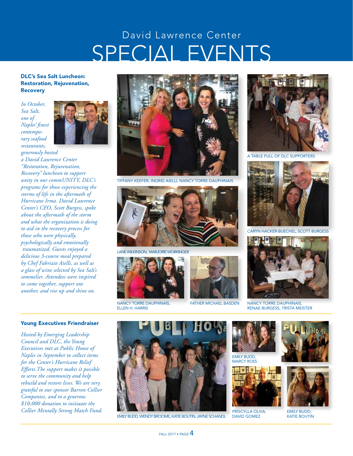## SPECIAL EVENTS David Lawrence Center

### DLC's Sea Salt Luncheon: Restoration, Rejuvenation, Recovery

*In October, Sea Salt, one of Naples' finest contemporary seafood restaurants,* 



*generously hosted a David Lawrence Center "Restoration, Rejuvenation, Recovery" luncheon to support unity in our commUNITY, DLC's programs for those experiencing the storms of life in the aftermath of Hurricane Irma. David Lawrence Center's CEO, Scott Burgess, spoke about the aftermath of the storm and what the organization is doing to aid in the recovery process for those who were physically, psychologically and emotionally traumatized. Guests enjoyed a delicious 3-course meal prepared by Chef Fabrizio Aielli, as well as a glass of wine selected by Sea Salt's sommelier. Attendees were inspired to come together, support one another, and rise up and shine on.* 



TIFFANY KEEFER, INGRID AIELLI, NANCY TORRE DAUPHINAIS



LANE WILKINSON, MARJORIE WORKINGER



NANCY TORRE DAUPHINAIS, ELLEN H. HARRIS



FATHER MICHAEL BASDEN



A TABLE FULL OF DLC SUPPORTERS



CARYN HACKER-BUECHEL, SCOTT BURGESS



NANCY TORRE DAUPHINAIS, RENAE BURGESS, TRISTA MEISTER

#### Young Executives Friendraiser

*Hosted by Emerging Leadership Council and DLC, the Young Executives met at Public House of Naples in September to collect items for the Center's Hurricane Relief Efforts.The support makes it possible to serve the community and help rebuild and restore lives. We are very grateful to our sponsor Barron Collier Companies, and to a generous \$10,000 donation to initiaate the Collier Mentally Strong Match Fund.*



EMILY BUDD, WENDY BROOME, KATIE BOUTIN, JAYNE SCHANDL





PRISCYLLA OLIVA, DAVID GOMEZ





EMILY BUDD, KATIE BOUTIN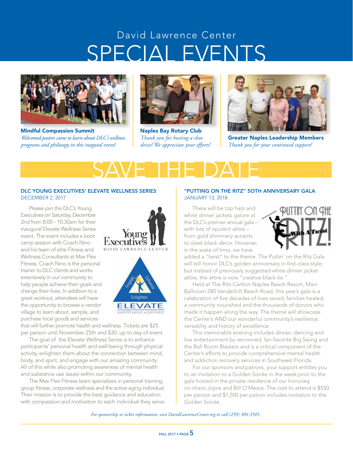## SPECIAL EVENTS David Lawrence Center



Mindful Compassion Summit *Welcomed pastors came to learn about DLC's wellness programs and philosopy in this inagural event!*



Naples Bay Rotary Club *Thank you for hosting a shoe drive! We appreciate your efforts!*



Greater Naples Leadership Members *Thank you for your continued support!*

### SAVE THE DATE *.................. ..................* DLC YOUNG EXECUTIVES' ELEVATE WELLNESS SERIES DECEMBER 2, 2017

Please join the DLC's Young Executives on Saturday, December 2nd from 8:00 - 10:30am for their inaugural Elevate Wellness Series event. The event includes a boot camp session with Coach Nino and his team of elite Fitness and Wellness Consultants at Max Flex Fitness. Coach Nino is the personal trainer to DLC clients and works extensively in our community to help people achieve their goals and change their lives. In addition to a great workout, attendees will have the opportunity to browse a vendor village to learn about, sample, and purchase local goods and services



that will further promote health and wellness. Tickets are \$25. per person until November 25th and \$30. up to day of event.

The goal of the Elevate Wellness Series is to enhance participants' personal health and well-being through physical activity, enlighten them about the connection between mind, body, and spirit, and engage with our amazing community. All of this while also promoting awareness of mental health and substance use issues within our community.

The Max Flex Fitness team specializes in personal training, group fitness, corporate wellness and the active aging individual. Their mission is to provide the best guidance and education with compassion and motivation to each individual they serve.

### "PUTTING ON THE RITZ" 5OTH ANNIVERSARY GALA JANUARY 13, 2018

There will be top hats and white dinner jackets galore at the DLC's premier annual gala – with lots of opulent attire – from gold shimmery accents to sleek black décor. However, in the wake of Irma, we have



added a "twist" to the theme. The Puttin' on the Ritz Gala will still honor DLC's golden anniversary in first-class style, but instead of previously suggested white dinner jacket attire, the attire is now "creative black tie."

Held at The Ritz-Carlton Naples Beach Resort, Main Ballroom 280 Vanderbilt Beach Road, this year's gala is a celebration of five decades of lives saved, families healed, a community nourished and the thousands of donors who made it happen along the way. The theme will showcase the Center's AND our wonderful community's resilience, versatility and history of excellence.

This memorable evening includes dinner, dancing and live entertainment by renowned, fan-favorite Big Swing and the Ball Room Blasters and is a critical component of the Center's efforts to provide comprehensive mental health and addiction recovery services in Southwest Florida.

For our sponsors and patrons, your support entitles you to an invitation to a Golden Soirée in the week prior to the gala hosted in the private residence of our honorary co-chairs Joyce and Bill O'Meara. The cost to attend is \$550 per person and \$1,500 per patron includes invitation to the Golden Soirée.

*For sponsorship or ticket information, visit DavidLawrenceCenter.org or call (239) 304-3505.*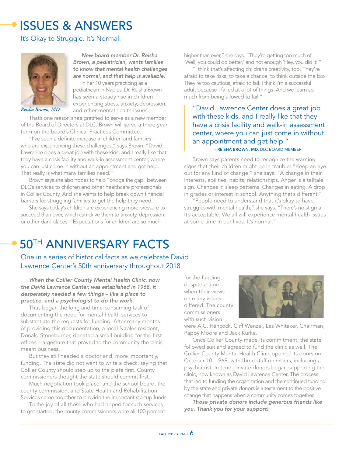## ISSUES & ANSWERS

### It's Okay to Struggle. It's Normal.



*Reisha Brown, MD*

That's one reason she's gratified to serve as a new member of the Board of Directors at DLC. Brown will serve a three-year term on the board's Clinical Practices Committee.

*New board member Dr. Reisha Brown, a pediatrician, wants families to know that mental health challenges are normal, and that help is available.* In her 10 years practicing as a pediatrician in Naples, Dr. Reisha Brown has seen a steady rise in children experiencing stress, anxiety, depression,

"I've seen a definite increase in children and families who are experiencing these challenges," says Brown. "David Lawrence does a great job with these kids, and I really like that they have a crisis facility and walk-in assessment center, where you can just come in without an appointment and get help. That really is what many families need."

Brown says she also hopes to help "bridge the gap" between DLC's services to children and other healthcare professionals in Collier County. And she wants to help break down financial barriers for struggling families to get the help they need.

She says today's children are experiencing more pressure to succeed than ever, which can drive them to anxiety, depression, or other dark places. "Expectations for children are so much

higher than ever," she says. "They're getting too much of 'Well, you could do better,' and not enough 'Hey, you did it!'"

"I think that's affecting children's creativity, too. They're afraid to take risks, to take a chance, to think outside the box. They're too cautious, afraid to fail. I think I'm a successful adult because I failed at a lot of things. And we learn so much from being allowed to fail."

### and other mental health issues.<br> $\vert$  "David Lawrence Center does a great job with these kids, and I really like that they have a crisis facility and walk-in assessment center, where you can just come in without an appointment and get help." – REISHA BROWN, MD, DLC BOARD MEMBER

Brown says parents need to recognize the warning signs that their children might be in trouble: "Keep an eye out for any kind of change," she says. "A change in their interests, abilities, habits, relationships. Anger is a telltale sign. Changes in sleep patterns. Changes in eating. A drop in grades or interest in school. Anything that's different."

"People need to understand that it's okay to have struggles with mental health," she says. "There's no stigma. It's acceptable. We all will experience mental health issues at some time in our lives. It's normal."

## 50TH ANNIVERSARY FACTS

One in a series of historical facts as we celebrate David Lawrence Center's 50th anniversary throughout 2018

*When the Collier County Mental Health Clinic, now the David Lawrence Center, was established in 1968, it desperately needed a few things – like a place to practice, and a psychologist to do the work.*

Thus began the long and time-consuming task of documenting the need for mental health services to substantiate the requests for funding. After many months of providing this documentation, a local Naples resident, Donald Stoneburner, donated a small building for the first offices – a gesture that proved to the community the clinic meant business.

But they still needed a doctor and, more importantly, funding. The state did not want to write a check, saying that Collier County should step up to the plate first. County commissioners thought the state should commit first.

Much negotiation took place, and the school board, the county commission, and State Health and Rehabilitation Services came together to provide the important startup funds.

To the joy of all those who had hoped for such services to get started, the county commissioners were all 100 percent for the funding, despite a time when their views on many issues differed. The county commissioners with such vision



were A.C. Hancock, Cliff Wenzel, Les Whitaker, Chairman, Pappy Moore and Jack Kurke.

Once Collier County made its commitment, the state followed suit and agreed to fund the clinic as well. The Collier County Mental Health Clinic opened its doors on October 10, 1969, with three staff members, including a psychiatrist. In time, private donors began supporting the clinic, now known as David Lawrence Center. The process that led to funding the organization and the continued funding by the state and private donors is a testament to the positive change that happens when a community comes together.

*Those private donors include generous friends like you. Thank you for your support!*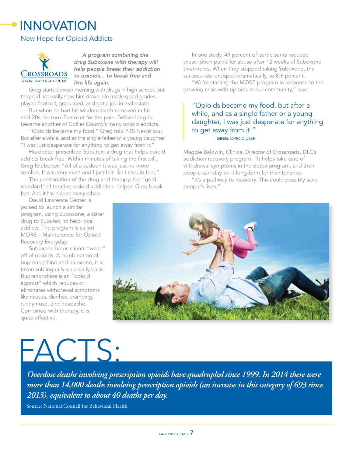## INNOVATION

### New Hope for Opioid Addicts



*A program combining the drug Suboxone with therapy will help people break their addiction to opioids... to break free and live life again.*

Greg started experimenting with drugs in high school, but they did not really slow him down. He made good grades, played football, graduated, and got a job in real estate.

But when he had his wisdom teeth removed in his mid-20s, he took Percocet for the pain. Before long he became another of Collier County's many opioid addicts.

"Opioids became my food," Greg told PBS NewsHour. But after a while, and as the single father of a young daughter, "I was just desperate for anything to get away from it."

His doctor prescribed Subutex, a drug that helps opioid addicts break free. Within minutes of taking the first pill, Greg felt better: "All of a sudden it was just no more zombie. It was very even and I just felt like I should feel."

The combination of the drug and therapy, the "gold standard" of treating opioid addiction, helped Greg break free. And it has helped many others.

David Lawrence Center is poised to launch a similar program, using Suboxone, a sister drug to Subutex, to help local addicts. The program is called MORE – Maintenance for Opioid Recovery Everyday.

Suboxone helps clients "wean" off of opioids. A combination of buprenorphine and naloxone, it is taken sublingually on a daily basis. Buprenorphine is an "opioid agonist" which reduces or eliminates withdrawal symptoms like nausea, diarrhea, cramping, runny nose, and headache. Combined with therapy, it is quite effective.

# FACTS:

*Overdose deaths involving prescription opioids have quadrupled since 1999. In 2014 there were more than 14,000 deaths involving prescription opioids (an increase in this category of 693 since 2013), equivalent to about 40 deaths per day.* 

Source: National Council for Behavioral Health

In one study, 49 percent of participants reduced prescription painkiller abuse after 12 weeks of Suboxone treatments. When they stopped taking Suboxone, the success rate dropped dramatically, to 8.6 percent.

"We're starting the MORE program in response to the growing crisis with opioids in our community," says

### "Opioids became my food, but after a while, and as a single father or a young daughter, I was just desperate for anything to get away from it." – GREG, OPIOID USER

Maggie Baldwin, Clinical Director of Crossroads, DLC's addiction recovery program. "It helps take care of withdrawal symptoms in the detox program, and then people can stay on it long-term for maintenance.

"It's a pathway to recovery. This could possibly save people's lives."